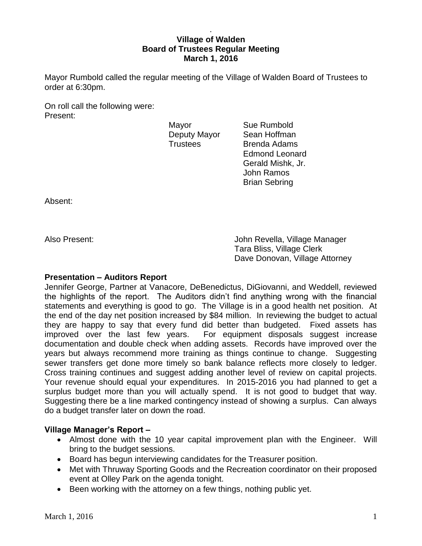### . **Village of Walden Board of Trustees Regular Meeting March 1, 2016**

Mayor Rumbold called the regular meeting of the Village of Walden Board of Trustees to order at 6:30pm.

On roll call the following were: Present:

Mayor **Sue Rumbold** 

Deputy Mayor Sean Hoffman Trustees Brenda Adams Edmond Leonard Gerald Mishk, Jr. John Ramos Brian Sebring

Absent:

Also Present: John Revella, Village Manager Tara Bliss, Village Clerk Dave Donovan, Village Attorney

## **Presentation – Auditors Report**

Jennifer George, Partner at Vanacore, DeBenedictus, DiGiovanni, and Weddell, reviewed the highlights of the report. The Auditors didn't find anything wrong with the financial statements and everything is good to go. The Village is in a good health net position. At the end of the day net position increased by \$84 million. In reviewing the budget to actual they are happy to say that every fund did better than budgeted. Fixed assets has improved over the last few years. For equipment disposals suggest increase documentation and double check when adding assets. Records have improved over the years but always recommend more training as things continue to change. Suggesting sewer transfers get done more timely so bank balance reflects more closely to ledger. Cross training continues and suggest adding another level of review on capital projects. Your revenue should equal your expenditures. In 2015-2016 you had planned to get a surplus budget more than you will actually spend. It is not good to budget that way. Suggesting there be a line marked contingency instead of showing a surplus. Can always do a budget transfer later on down the road.

# **Village Manager's Report –**

- Almost done with the 10 year capital improvement plan with the Engineer. Will bring to the budget sessions.
- Board has begun interviewing candidates for the Treasurer position.
- Met with Thruway Sporting Goods and the Recreation coordinator on their proposed event at Olley Park on the agenda tonight.
- Been working with the attorney on a few things, nothing public yet.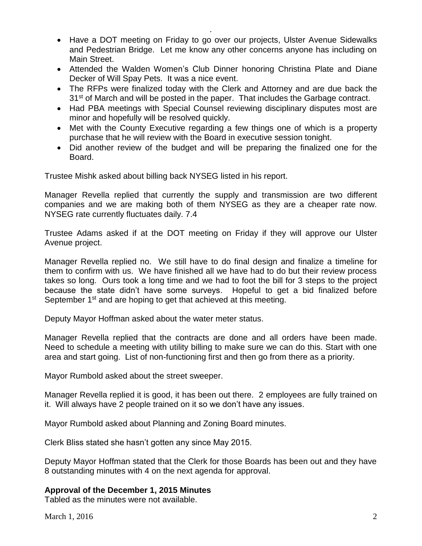• Have a DOT meeting on Friday to go over our projects, Ulster Avenue Sidewalks and Pedestrian Bridge. Let me know any other concerns anyone has including on Main Street.

.

- Attended the Walden Women's Club Dinner honoring Christina Plate and Diane Decker of Will Spay Pets. It was a nice event.
- The RFPs were finalized today with the Clerk and Attorney and are due back the 31<sup>st</sup> of March and will be posted in the paper. That includes the Garbage contract.
- Had PBA meetings with Special Counsel reviewing disciplinary disputes most are minor and hopefully will be resolved quickly.
- Met with the County Executive regarding a few things one of which is a property purchase that he will review with the Board in executive session tonight.
- Did another review of the budget and will be preparing the finalized one for the Board.

Trustee Mishk asked about billing back NYSEG listed in his report.

Manager Revella replied that currently the supply and transmission are two different companies and we are making both of them NYSEG as they are a cheaper rate now. NYSEG rate currently fluctuates daily. 7.4

Trustee Adams asked if at the DOT meeting on Friday if they will approve our Ulster Avenue project.

Manager Revella replied no. We still have to do final design and finalize a timeline for them to confirm with us. We have finished all we have had to do but their review process takes so long. Ours took a long time and we had to foot the bill for 3 steps to the project because the state didn't have some surveys. Hopeful to get a bid finalized before September 1<sup>st</sup> and are hoping to get that achieved at this meeting.

Deputy Mayor Hoffman asked about the water meter status.

Manager Revella replied that the contracts are done and all orders have been made. Need to schedule a meeting with utility billing to make sure we can do this. Start with one area and start going. List of non-functioning first and then go from there as a priority.

Mayor Rumbold asked about the street sweeper.

Manager Revella replied it is good, it has been out there. 2 employees are fully trained on it. Will always have 2 people trained on it so we don't have any issues.

Mayor Rumbold asked about Planning and Zoning Board minutes.

Clerk Bliss stated she hasn't gotten any since May 2015.

Deputy Mayor Hoffman stated that the Clerk for those Boards has been out and they have 8 outstanding minutes with 4 on the next agenda for approval.

## **Approval of the December 1, 2015 Minutes**

Tabled as the minutes were not available.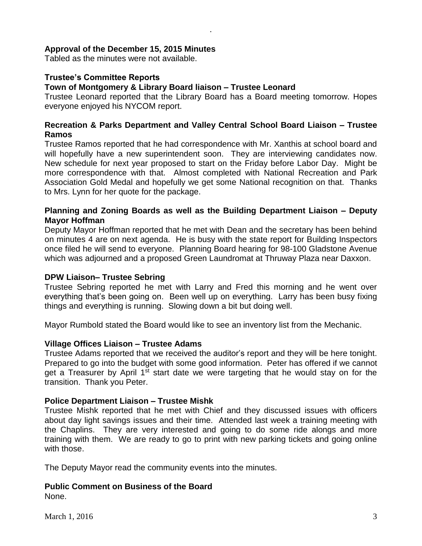## **Approval of the December 15, 2015 Minutes**

Tabled as the minutes were not available.

## **Trustee's Committee Reports**

### **Town of Montgomery & Library Board liaison – Trustee Leonard**

Trustee Leonard reported that the Library Board has a Board meeting tomorrow. Hopes everyone enjoyed his NYCOM report.

.

### **Recreation & Parks Department and Valley Central School Board Liaison – Trustee Ramos**

Trustee Ramos reported that he had correspondence with Mr. Xanthis at school board and will hopefully have a new superintendent soon. They are interviewing candidates now. New schedule for next year proposed to start on the Friday before Labor Day. Might be more correspondence with that. Almost completed with National Recreation and Park Association Gold Medal and hopefully we get some National recognition on that. Thanks to Mrs. Lynn for her quote for the package.

### **Planning and Zoning Boards as well as the Building Department Liaison – Deputy Mayor Hoffman**

Deputy Mayor Hoffman reported that he met with Dean and the secretary has been behind on minutes 4 are on next agenda. He is busy with the state report for Building Inspectors once filed he will send to everyone. Planning Board hearing for 98-100 Gladstone Avenue which was adjourned and a proposed Green Laundromat at Thruway Plaza near Daxxon.

#### **DPW Liaison– Trustee Sebring**

Trustee Sebring reported he met with Larry and Fred this morning and he went over everything that's been going on. Been well up on everything. Larry has been busy fixing things and everything is running. Slowing down a bit but doing well.

Mayor Rumbold stated the Board would like to see an inventory list from the Mechanic.

#### **Village Offices Liaison – Trustee Adams**

Trustee Adams reported that we received the auditor's report and they will be here tonight. Prepared to go into the budget with some good information. Peter has offered if we cannot get a Treasurer by April 1<sup>st</sup> start date we were targeting that he would stay on for the transition. Thank you Peter.

#### **Police Department Liaison – Trustee Mishk**

Trustee Mishk reported that he met with Chief and they discussed issues with officers about day light savings issues and their time. Attended last week a training meeting with the Chaplins. They are very interested and going to do some ride alongs and more training with them. We are ready to go to print with new parking tickets and going online with those.

The Deputy Mayor read the community events into the minutes.

### **Public Comment on Business of the Board**

None.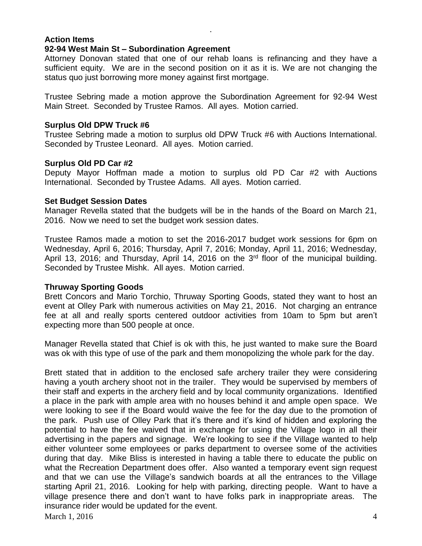#### **Action Items 92-94 West Main St – Subordination Agreement**

Attorney Donovan stated that one of our rehab loans is refinancing and they have a sufficient equity. We are in the second position on it as it is. We are not changing the status quo just borrowing more money against first mortgage.

.

Trustee Sebring made a motion approve the Subordination Agreement for 92-94 West Main Street. Seconded by Trustee Ramos. All ayes. Motion carried.

### **Surplus Old DPW Truck #6**

Trustee Sebring made a motion to surplus old DPW Truck #6 with Auctions International. Seconded by Trustee Leonard. All ayes. Motion carried.

## **Surplus Old PD Car #2**

Deputy Mayor Hoffman made a motion to surplus old PD Car #2 with Auctions International. Seconded by Trustee Adams. All ayes. Motion carried.

### **Set Budget Session Dates**

Manager Revella stated that the budgets will be in the hands of the Board on March 21, 2016. Now we need to set the budget work session dates.

Trustee Ramos made a motion to set the 2016-2017 budget work sessions for 6pm on Wednesday, April 6, 2016; Thursday, April 7, 2016; Monday, April 11, 2016; Wednesday, April 13, 2016; and Thursday, April 14, 2016 on the 3<sup>rd</sup> floor of the municipal building. Seconded by Trustee Mishk. All ayes. Motion carried.

## **Thruway Sporting Goods**

Brett Concors and Mario Torchio, Thruway Sporting Goods, stated they want to host an event at Olley Park with numerous activities on May 21, 2016. Not charging an entrance fee at all and really sports centered outdoor activities from 10am to 5pm but aren't expecting more than 500 people at once.

Manager Revella stated that Chief is ok with this, he just wanted to make sure the Board was ok with this type of use of the park and them monopolizing the whole park for the day.

March 1, 2016  $\frac{4}{3}$ Brett stated that in addition to the enclosed safe archery trailer they were considering having a youth archery shoot not in the trailer. They would be supervised by members of their staff and experts in the archery field and by local community organizations. Identified a place in the park with ample area with no houses behind it and ample open space. We were looking to see if the Board would waive the fee for the day due to the promotion of the park. Push use of Olley Park that it's there and it's kind of hidden and exploring the potential to have the fee waived that in exchange for using the Village logo in all their advertising in the papers and signage. We're looking to see if the Village wanted to help either volunteer some employees or parks department to oversee some of the activities during that day. Mike Bliss is interested in having a table there to educate the public on what the Recreation Department does offer. Also wanted a temporary event sign request and that we can use the Village's sandwich boards at all the entrances to the Village starting April 21, 2016. Looking for help with parking, directing people. Want to have a village presence there and don't want to have folks park in inappropriate areas. The insurance rider would be updated for the event.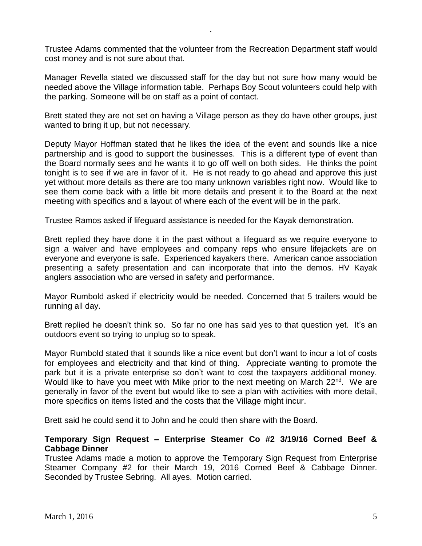Trustee Adams commented that the volunteer from the Recreation Department staff would cost money and is not sure about that.

.

Manager Revella stated we discussed staff for the day but not sure how many would be needed above the Village information table. Perhaps Boy Scout volunteers could help with the parking. Someone will be on staff as a point of contact.

Brett stated they are not set on having a Village person as they do have other groups, just wanted to bring it up, but not necessary.

Deputy Mayor Hoffman stated that he likes the idea of the event and sounds like a nice partnership and is good to support the businesses. This is a different type of event than the Board normally sees and he wants it to go off well on both sides. He thinks the point tonight is to see if we are in favor of it. He is not ready to go ahead and approve this just yet without more details as there are too many unknown variables right now. Would like to see them come back with a little bit more details and present it to the Board at the next meeting with specifics and a layout of where each of the event will be in the park.

Trustee Ramos asked if lifeguard assistance is needed for the Kayak demonstration.

Brett replied they have done it in the past without a lifeguard as we require everyone to sign a waiver and have employees and company reps who ensure lifejackets are on everyone and everyone is safe. Experienced kayakers there. American canoe association presenting a safety presentation and can incorporate that into the demos. HV Kayak anglers association who are versed in safety and performance.

Mayor Rumbold asked if electricity would be needed. Concerned that 5 trailers would be running all day.

Brett replied he doesn't think so. So far no one has said yes to that question yet. It's an outdoors event so trying to unplug so to speak.

Mayor Rumbold stated that it sounds like a nice event but don't want to incur a lot of costs for employees and electricity and that kind of thing. Appreciate wanting to promote the park but it is a private enterprise so don't want to cost the taxpayers additional money. Would like to have you meet with Mike prior to the next meeting on March 22<sup>nd</sup>. We are generally in favor of the event but would like to see a plan with activities with more detail, more specifics on items listed and the costs that the Village might incur.

Brett said he could send it to John and he could then share with the Board.

## **Temporary Sign Request – Enterprise Steamer Co #2 3/19/16 Corned Beef & Cabbage Dinner**

Trustee Adams made a motion to approve the Temporary Sign Request from Enterprise Steamer Company #2 for their March 19, 2016 Corned Beef & Cabbage Dinner. Seconded by Trustee Sebring. All ayes. Motion carried.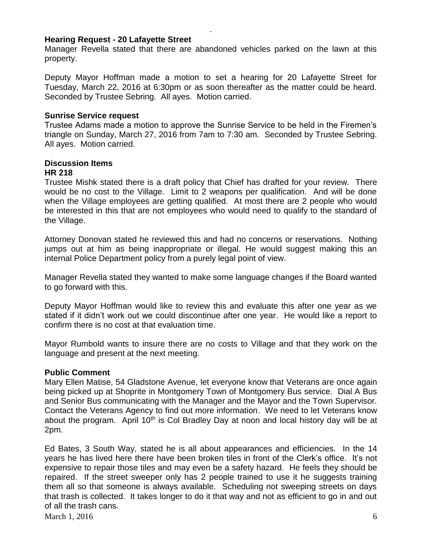#### **Hearing Request - 20 Lafayette Street**

Manager Revella stated that there are abandoned vehicles parked on the lawn at this property.

.

Deputy Mayor Hoffman made a motion to set a hearing for 20 Lafayette Street for Tuesday, March 22, 2016 at 6:30pm or as soon thereafter as the matter could be heard. Seconded by Trustee Sebring. All ayes. Motion carried.

#### **Sunrise Service request**

Trustee Adams made a motion to approve the Sunrise Service to be held in the Firemen's triangle on Sunday, March 27, 2016 from 7am to 7:30 am. Seconded by Trustee Sebring. All ayes. Motion carried.

# **Discussion Items**

#### **HR 218**

Trustee Mishk stated there is a draft policy that Chief has drafted for your review. There would be no cost to the Village. Limit to 2 weapons per qualification. And will be done when the Village employees are getting qualified. At most there are 2 people who would be interested in this that are not employees who would need to qualify to the standard of the Village.

Attorney Donovan stated he reviewed this and had no concerns or reservations. Nothing jumps out at him as being inappropriate or illegal. He would suggest making this an internal Police Department policy from a purely legal point of view.

Manager Revella stated they wanted to make some language changes if the Board wanted to go forward with this.

Deputy Mayor Hoffman would like to review this and evaluate this after one year as we stated if it didn't work out we could discontinue after one year. He would like a report to confirm there is no cost at that evaluation time.

Mayor Rumbold wants to insure there are no costs to Village and that they work on the language and present at the next meeting.

#### **Public Comment**

Mary Ellen Matise, 54 Gladstone Avenue, let everyone know that Veterans are once again being picked up at Shoprite in Montgomery Town of Montgomery Bus service. Dial A Bus and Senior Bus communicating with the Manager and the Mayor and the Town Supervisor. Contact the Veterans Agency to find out more information. We need to let Veterans know about the program. April 10<sup>th</sup> is Col Bradley Day at noon and local history day will be at 2pm.

March 1, 2016 6 Ed Bates, 3 South Way, stated he is all about appearances and efficiencies. In the 14 years he has lived here there have been broken tiles in front of the Clerk's office. It's not expensive to repair those tiles and may even be a safety hazard. He feels they should be repaired. If the street sweeper only has 2 people trained to use it he suggests training them all so that someone is always available. Scheduling not sweeping streets on days that trash is collected. It takes longer to do it that way and not as efficient to go in and out of all the trash cans.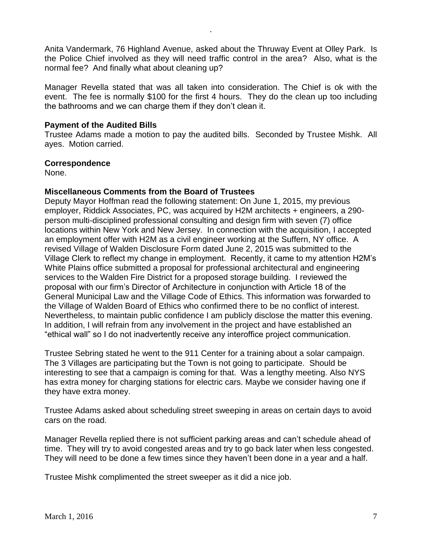Anita Vandermark, 76 Highland Avenue, asked about the Thruway Event at Olley Park. Is the Police Chief involved as they will need traffic control in the area? Also, what is the normal fee? And finally what about cleaning up?

.

Manager Revella stated that was all taken into consideration. The Chief is ok with the event. The fee is normally \$100 for the first 4 hours. They do the clean up too including the bathrooms and we can charge them if they don't clean it.

### **Payment of the Audited Bills**

Trustee Adams made a motion to pay the audited bills. Seconded by Trustee Mishk. All ayes. Motion carried.

### **Correspondence**

None.

## **Miscellaneous Comments from the Board of Trustees**

Deputy Mayor Hoffman read the following statement: On June 1, 2015, my previous employer, Riddick Associates, PC, was acquired by H2M architects + engineers, a 290 person multi-disciplined professional consulting and design firm with seven (7) office locations within New York and New Jersey. In connection with the acquisition, I accepted an employment offer with H2M as a civil engineer working at the Suffern, NY office. A revised Village of Walden Disclosure Form dated June 2, 2015 was submitted to the Village Clerk to reflect my change in employment. Recently, it came to my attention H2M's White Plains office submitted a proposal for professional architectural and engineering services to the Walden Fire District for a proposed storage building. I reviewed the proposal with our firm's Director of Architecture in conjunction with Article 18 of the General Municipal Law and the Village Code of Ethics. This information was forwarded to the Village of Walden Board of Ethics who confirmed there to be no conflict of interest. Nevertheless, to maintain public confidence I am publicly disclose the matter this evening. In addition, I will refrain from any involvement in the project and have established an "ethical wall" so I do not inadvertently receive any interoffice project communication.

Trustee Sebring stated he went to the 911 Center for a training about a solar campaign. The 3 Villages are participating but the Town is not going to participate. Should be interesting to see that a campaign is coming for that. Was a lengthy meeting. Also NYS has extra money for charging stations for electric cars. Maybe we consider having one if they have extra money.

Trustee Adams asked about scheduling street sweeping in areas on certain days to avoid cars on the road.

Manager Revella replied there is not sufficient parking areas and can't schedule ahead of time. They will try to avoid congested areas and try to go back later when less congested. They will need to be done a few times since they haven't been done in a year and a half.

Trustee Mishk complimented the street sweeper as it did a nice job.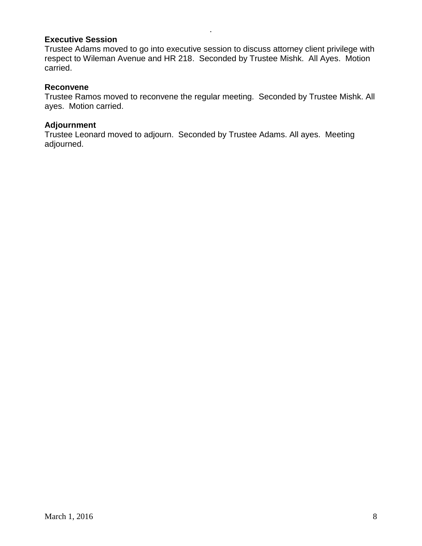## **Executive Session**

Trustee Adams moved to go into executive session to discuss attorney client privilege with respect to Wileman Avenue and HR 218. Seconded by Trustee Mishk. All Ayes. Motion carried.

.

### **Reconvene**

Trustee Ramos moved to reconvene the regular meeting. Seconded by Trustee Mishk. All ayes. Motion carried.

### **Adjournment**

Trustee Leonard moved to adjourn. Seconded by Trustee Adams. All ayes. Meeting adjourned.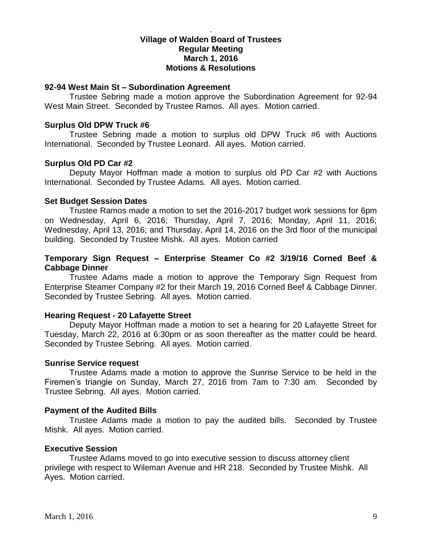### **Village of Walden Board of Trustees Regular Meeting March 1, 2016 Motions & Resolutions**

.

#### **92-94 West Main St – Subordination Agreement**

Trustee Sebring made a motion approve the Subordination Agreement for 92-94 West Main Street. Seconded by Trustee Ramos. All ayes. Motion carried.

#### **Surplus Old DPW Truck #6**

Trustee Sebring made a motion to surplus old DPW Truck #6 with Auctions International. Seconded by Trustee Leonard. All ayes. Motion carried.

#### **Surplus Old PD Car #2**

Deputy Mayor Hoffman made a motion to surplus old PD Car #2 with Auctions International. Seconded by Trustee Adams. All ayes. Motion carried.

#### **Set Budget Session Dates**

Trustee Ramos made a motion to set the 2016-2017 budget work sessions for 6pm on Wednesday, April 6, 2016; Thursday, April 7, 2016; Monday, April 11, 2016; Wednesday, April 13, 2016; and Thursday, April 14, 2016 on the 3rd floor of the municipal building. Seconded by Trustee Mishk. All ayes. Motion carried

### **Temporary Sign Request – Enterprise Steamer Co #2 3/19/16 Corned Beef & Cabbage Dinner**

Trustee Adams made a motion to approve the Temporary Sign Request from Enterprise Steamer Company #2 for their March 19, 2016 Corned Beef & Cabbage Dinner. Seconded by Trustee Sebring. All ayes. Motion carried.

#### **Hearing Request - 20 Lafayette Street**

Deputy Mayor Hoffman made a motion to set a hearing for 20 Lafayette Street for Tuesday, March 22, 2016 at 6:30pm or as soon thereafter as the matter could be heard. Seconded by Trustee Sebring. All ayes. Motion carried.

#### **Sunrise Service request**

Trustee Adams made a motion to approve the Sunrise Service to be held in the Firemen's triangle on Sunday, March 27, 2016 from 7am to 7:30 am. Seconded by Trustee Sebring. All ayes. Motion carried.

#### **Payment of the Audited Bills**

Trustee Adams made a motion to pay the audited bills. Seconded by Trustee Mishk. All ayes. Motion carried.

#### **Executive Session**

Trustee Adams moved to go into executive session to discuss attorney client privilege with respect to Wileman Avenue and HR 218. Seconded by Trustee Mishk. All Ayes. Motion carried.